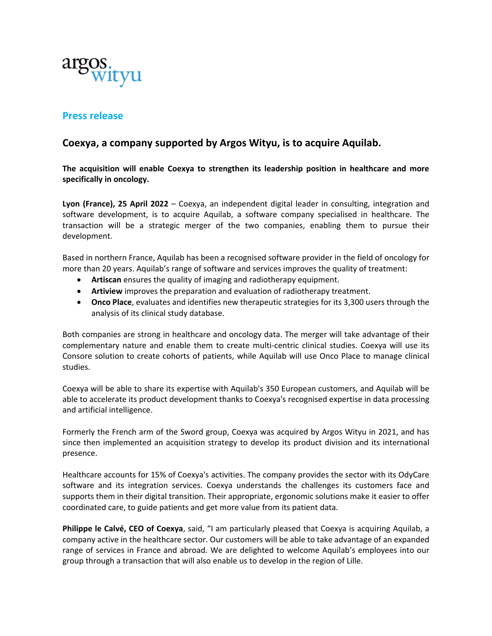

# **Press release**

# **Coexya, a company supported by Argos Wityu, is to acquire Aquilab.**

**The acquisition will enable Coexya to strengthen its leadership position in healthcare and more specifically in oncology.** 

**Lyon (France), 25 April 2022** – Coexya, an independent digital leader in consulting, integration and software development, is to acquire Aquilab, a software company specialised in healthcare. The transaction will be a strategic merger of the two companies, enabling them to pursue their development.

Based in northern France, Aquilab has been a recognised software provider in the field of oncology for more than 20 years. Aquilab's range of software and services improves the quality of treatment:

- **Artiscan** ensures the quality of imaging and radiotherapy equipment.
- **Artiview** improves the preparation and evaluation of radiotherapy treatment.
- **Onco Place**, evaluates and identifies new therapeutic strategies for its 3,300 users through the analysis of its clinical study database.

Both companies are strong in healthcare and oncology data. The merger will take advantage of their complementary nature and enable them to create multi-centric clinical studies. Coexya will use its Consore solution to create cohorts of patients, while Aquilab will use Onco Place to manage clinical studies.

Coexya will be able to share its expertise with Aquilab's 350 European customers, and Aquilab will be able to accelerate its product development thanks to Coexya's recognised expertise in data processing and artificial intelligence.

Formerly the French arm of the Sword group, Coexya was acquired by Argos Wityu in 2021, and has since then implemented an acquisition strategy to develop its product division and its international presence.

Healthcare accounts for 15% of Coexya's activities. The company provides the sector with its OdyCare software and its integration services. Coexya understands the challenges its customers face and supports them in their digital transition. Their appropriate, ergonomic solutions make it easier to offer coordinated care, to guide patients and get more value from its patient data.

**Philippe le Calvé, CEO of Coexya**, said, "I am particularly pleased that Coexya is acquiring Aquilab, a company active in the healthcare sector. Our customers will be able to take advantage of an expanded range of services in France and abroad. We are delighted to welcome Aquilab's employees into our group through a transaction that will also enable us to develop in the region of Lille.